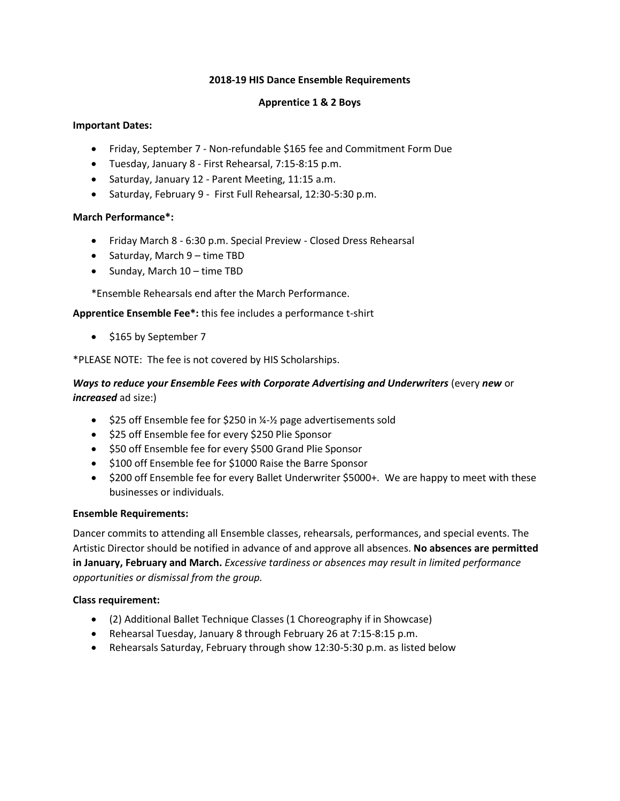#### **2018-19 HIS Dance Ensemble Requirements**

# **Apprentice 1 & 2 Boys**

# **Important Dates:**

- Friday, September 7 Non-refundable \$165 fee and Commitment Form Due
- Tuesday, January 8 First Rehearsal, 7:15-8:15 p.m.
- Saturday, January 12 Parent Meeting, 11:15 a.m.
- Saturday, February 9 First Full Rehearsal, 12:30-5:30 p.m.

#### **March Performance\*:**

- Friday March 8 6:30 p.m. Special Preview Closed Dress Rehearsal
- Saturday, March 9 time TBD
- Sunday, March 10 time TBD

\*Ensemble Rehearsals end after the March Performance.

**Apprentice Ensemble Fee\*:** this fee includes a performance t-shirt

• \$165 by September 7

\*PLEASE NOTE: The fee is not covered by HIS Scholarships.

# *Ways to reduce your Ensemble Fees with Corporate Advertising and Underwriters* (every *new* or *increased* ad size:)

- $$25$  off Ensemble fee for \$250 in  $\frac{1}{2}$  page advertisements sold
- \$25 off Ensemble fee for every \$250 Plie Sponsor
- \$50 off Ensemble fee for every \$500 Grand Plie Sponsor
- \$100 off Ensemble fee for \$1000 Raise the Barre Sponsor
- \$200 off Ensemble fee for every Ballet Underwriter \$5000+. We are happy to meet with these businesses or individuals.

#### **Ensemble Requirements:**

Dancer commits to attending all Ensemble classes, rehearsals, performances, and special events. The Artistic Director should be notified in advance of and approve all absences. **No absences are permitted in January, February and March.** *Excessive tardiness or absences may result in limited performance opportunities or dismissal from the group.* 

# **Class requirement:**

- (2) Additional Ballet Technique Classes (1 Choreography if in Showcase)
- Rehearsal Tuesday, January 8 through February 26 at 7:15-8:15 p.m.
- Rehearsals Saturday, February through show 12:30-5:30 p.m. as listed below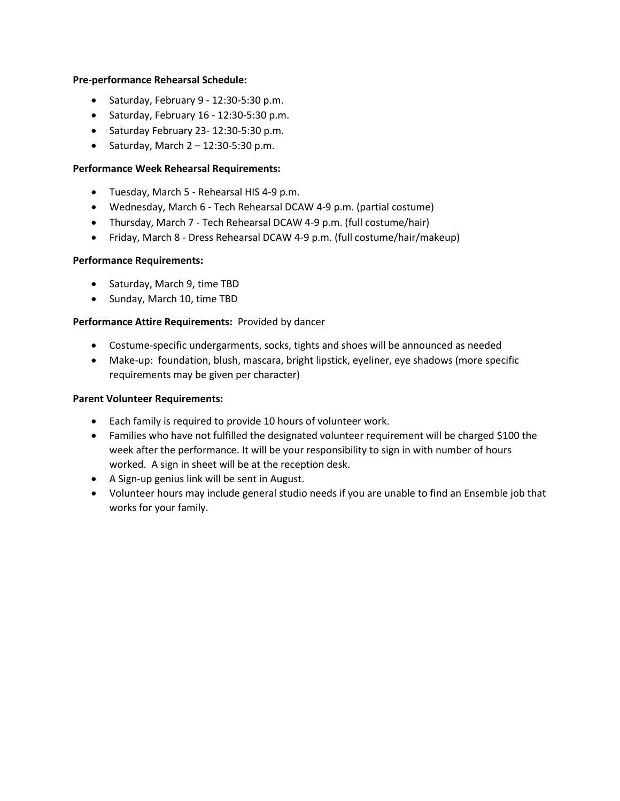#### **Pre-performance Rehearsal Schedule:**

- Saturday, February 9 12:30-5:30 p.m.
- Saturday, February 16 12:30-5:30 p.m.
- Saturday February 23- 12:30-5:30 p.m.
- Saturday, March  $2 12:30 5:30$  p.m.

# **Performance Week Rehearsal Requirements:**

- Tuesday, March 5 Rehearsal HIS 4-9 p.m.
- Wednesday, March 6 Tech Rehearsal DCAW 4-9 p.m. (partial costume)
- Thursday, March 7 Tech Rehearsal DCAW 4-9 p.m. (full costume/hair)
- Friday, March 8 Dress Rehearsal DCAW 4-9 p.m. (full costume/hair/makeup)

#### **Performance Requirements:**

- Saturday, March 9, time TBD
- Sunday, March 10, time TBD

# **Performance Attire Requirements:** Provided by dancer

- Costume-specific undergarments, socks, tights and shoes will be announced as needed
- Make-up: foundation, blush, mascara, bright lipstick, eyeliner, eye shadows (more specific requirements may be given per character)

# **Parent Volunteer Requirements:**

- Each family is required to provide 10 hours of volunteer work.
- Families who have not fulfilled the designated volunteer requirement will be charged \$100 the week after the performance. It will be your responsibility to sign in with number of hours worked. A sign in sheet will be at the reception desk.
- A Sign-up genius link will be sent in August.
- Volunteer hours may include general studio needs if you are unable to find an Ensemble job that works for your family.